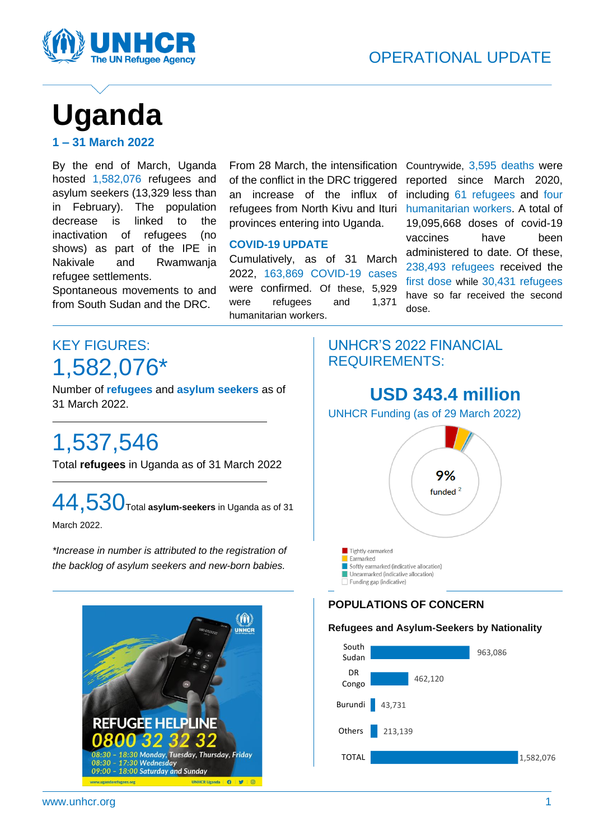

# **Uganda**

**1 – 31 March 2022**

By the end of March, Uganda hosted 1,582,076 refugees and asylum seekers (13,329 less than in February). The population decrease is linked to the inactivation of refugees (no shows) as part of the IPE in Nakivale and Rwamwanja refugee settlements.

Spontaneous movements to and from South Sudan and the DRC.

From 28 March, the intensification of the conflict in the DRC triggered an increase of the influx of refugees from North Kivu and Ituri provinces entering into Uganda.

#### **COVID-19 UPDATE**

Cumulatively, as of 31 March 2022, 163,869 COVID-19 cases were confirmed. Of these, 5,929 were refugees and 1,371 humanitarian workers.

 $\overline{a}$ 

Countrywide, 3,595 deaths were reported since March 2020, including 61 refugees and four humanitarian workers. A total of 19,095,668 doses of covid-19 vaccines have been administered to date. Of these, 238,493 refugees received the first dose while 30,431 refugees have so far received the second dose.

## KEY FIGURES: 1,582,076\*

Number of **refugees** and **asylum seekers** as of 31 March 2022.

## 1,537,546

Total **refugees** in Uganda as of 31 March 2022

44,530Total **asylum-seekers** in Uganda as of 31

March 2022.

*\*Increase in number is attributed to the registration of* **U I** Tightly earmarked *the backlog of asylum seekers and new-born babies.*



## UNHCR'S 2022 FINANCIAL REQUIREMENTS:

## **USD 343.4 million**

UNHCR Funding (as of 29 March 2022)



#### **POPULATIONS OF CONCERN**

#### **Refugees and Asylum-Seekers by Nationality**

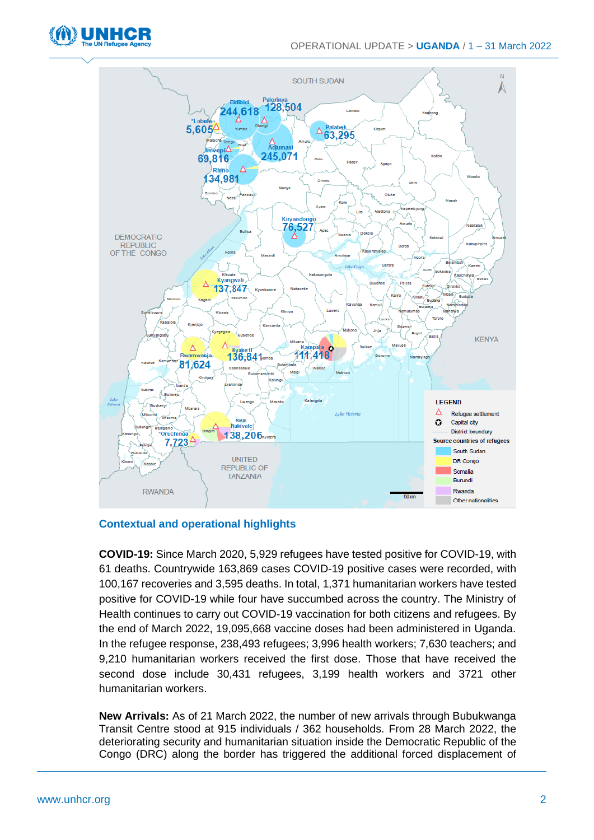



#### **Contextual and operational highlights**

**COVID-19:** Since March 2020, 5,929 refugees have tested positive for COVID-19, with 61 deaths. Countrywide 163,869 cases COVID-19 positive cases were recorded, with 100,167 recoveries and 3,595 deaths. In total, 1,371 humanitarian workers have tested positive for COVID-19 while four have succumbed across the country. The Ministry of Health continues to carry out COVID-19 vaccination for both citizens and refugees. By the end of March 2022, 19,095,668 vaccine doses had been administered in Uganda. In the refugee response, 238,493 refugees; 3,996 health workers; 7,630 teachers; and 9,210 humanitarian workers received the first dose. Those that have received the second dose include 30,431 refugees, 3,199 health workers and 3721 other humanitarian workers.

**New Arrivals:** As of 21 March 2022, the number of new arrivals through Bubukwanga Transit Centre stood at 915 individuals / 362 households. From 28 March 2022, the deteriorating security and humanitarian situation inside the Democratic Republic of the Congo (DRC) along the border has triggered the additional forced displacement of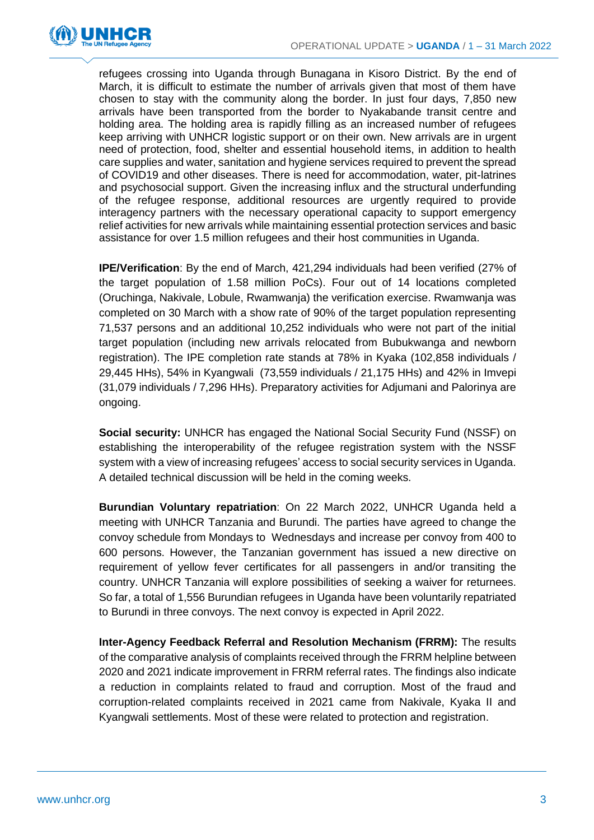

refugees crossing into Uganda through Bunagana in Kisoro District. By the end of March, it is difficult to estimate the number of arrivals given that most of them have chosen to stay with the community along the border. In just four days, 7,850 new arrivals have been transported from the border to Nyakabande transit centre and holding area. The holding area is rapidly filling as an increased number of refugees keep arriving with UNHCR logistic support or on their own. New arrivals are in urgent need of protection, food, shelter and essential household items, in addition to health care supplies and water, sanitation and hygiene services required to prevent the spread of COVID19 and other diseases. There is need for accommodation, water, pit-latrines and psychosocial support. Given the increasing influx and the structural underfunding of the refugee response, additional resources are urgently required to provide interagency partners with the necessary operational capacity to support emergency relief activities for new arrivals while maintaining essential protection services and basic assistance for over 1.5 million refugees and their host communities in Uganda.

**IPE/Verification**: By the end of March, 421,294 individuals had been verified (27% of the target population of 1.58 million PoCs). Four out of 14 locations completed (Oruchinga, Nakivale, Lobule, Rwamwanja) the verification exercise. Rwamwanja was completed on 30 March with a show rate of 90% of the target population representing 71,537 persons and an additional 10,252 individuals who were not part of the initial target population (including new arrivals relocated from Bubukwanga and newborn registration). The IPE completion rate stands at 78% in Kyaka (102,858 individuals / 29,445 HHs), 54% in Kyangwali (73,559 individuals / 21,175 HHs) and 42% in Imvepi (31,079 individuals / 7,296 HHs). Preparatory activities for Adjumani and Palorinya are ongoing.

**Social security:** UNHCR has engaged the National Social Security Fund (NSSF) on establishing the interoperability of the refugee registration system with the NSSF system with a view of increasing refugees' access to social security services in Uganda. A detailed technical discussion will be held in the coming weeks.

**Burundian Voluntary repatriation**: On 22 March 2022, UNHCR Uganda held a meeting with UNHCR Tanzania and Burundi. The parties have agreed to change the convoy schedule from Mondays to Wednesdays and increase per convoy from 400 to 600 persons. However, the Tanzanian government has issued a new directive on requirement of yellow fever certificates for all passengers in and/or transiting the country. UNHCR Tanzania will explore possibilities of seeking a waiver for returnees. So far, a total of 1,556 Burundian refugees in Uganda have been voluntarily repatriated to Burundi in three convoys. The next convoy is expected in April 2022.

**Inter-Agency Feedback Referral and Resolution Mechanism (FRRM):** The results of the comparative analysis of complaints received through the FRRM helpline between 2020 and 2021 indicate improvement in FRRM referral rates. The findings also indicate a reduction in complaints related to fraud and corruption. Most of the fraud and corruption-related complaints received in 2021 came from Nakivale, Kyaka II and Kyangwali settlements. Most of these were related to protection and registration.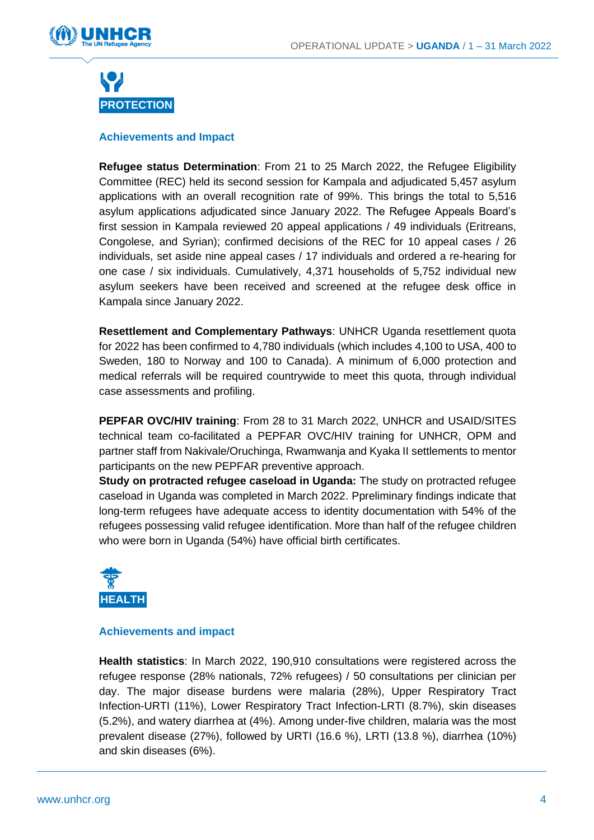



#### **Achievements and Impact**

**Refugee status Determination**: From 21 to 25 March 2022, the Refugee Eligibility Committee (REC) held its second session for Kampala and adjudicated 5,457 asylum applications with an overall recognition rate of 99%. This brings the total to 5,516 asylum applications adjudicated since January 2022. The Refugee Appeals Board's first session in Kampala reviewed 20 appeal applications / 49 individuals (Eritreans, Congolese, and Syrian); confirmed decisions of the REC for 10 appeal cases / 26 individuals, set aside nine appeal cases / 17 individuals and ordered a re-hearing for one case / six individuals. Cumulatively, 4,371 households of 5,752 individual new asylum seekers have been received and screened at the refugee desk office in Kampala since January 2022.

**Resettlement and Complementary Pathways**: UNHCR Uganda resettlement quota for 2022 has been confirmed to 4,780 individuals (which includes 4,100 to USA, 400 to Sweden, 180 to Norway and 100 to Canada). A minimum of 6,000 protection and medical referrals will be required countrywide to meet this quota, through individual case assessments and profiling.

**PEPFAR OVC/HIV training**: From 28 to 31 March 2022, UNHCR and USAID/SITES technical team co-facilitated a PEPFAR OVC/HIV training for UNHCR, OPM and partner staff from Nakivale/Oruchinga, Rwamwanja and Kyaka II settlements to mentor participants on the new PEPFAR preventive approach.

**Study on protracted refugee caseload in Uganda:** The study on protracted refugee caseload in Uganda was completed in March 2022. Ppreliminary findings indicate that long-term refugees have adequate access to identity documentation with 54% of the refugees possessing valid refugee identification. More than half of the refugee children who were born in Uganda (54%) have official birth certificates.



#### **Achievements and impact**

**Health statistics**: In March 2022, 190,910 consultations were registered across the refugee response (28% nationals, 72% refugees) / 50 consultations per clinician per day. The major disease burdens were malaria (28%), Upper Respiratory Tract Infection-URTI (11%), Lower Respiratory Tract Infection-LRTI (8.7%), skin diseases (5.2%), and watery diarrhea at (4%). Among under-five children, malaria was the most prevalent disease (27%), followed by URTI (16.6 %), LRTI (13.8 %), diarrhea (10%) and skin diseases (6%).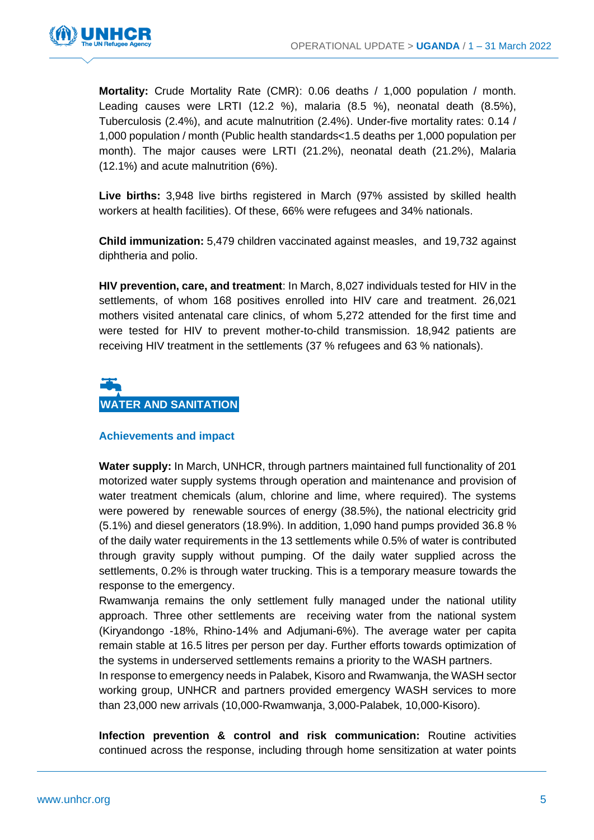

**Mortality:** Crude Mortality Rate (CMR): 0.06 deaths / 1,000 population / month. Leading causes were LRTI (12.2 %), malaria (8.5 %), neonatal death (8.5%), Tuberculosis (2.4%), and acute malnutrition (2.4%). Under-five mortality rates: 0.14 / 1,000 population / month (Public health standards<1.5 deaths per 1,000 population per month). The major causes were LRTI (21.2%), neonatal death (21.2%), Malaria (12.1%) and acute malnutrition (6%).

**Live births:** 3,948 live births registered in March (97% assisted by skilled health workers at health facilities). Of these, 66% were refugees and 34% nationals.

**Child immunization:** 5,479 children vaccinated against measles, and 19,732 against diphtheria and polio.

**HIV prevention, care, and treatment**: In March, 8,027 individuals tested for HIV in the settlements, of whom 168 positives enrolled into HIV care and treatment. 26,021 mothers visited antenatal care clinics, of whom 5,272 attended for the first time and were tested for HIV to prevent mother-to-child transmission. 18,942 patients are receiving HIV treatment in the settlements (37 % refugees and 63 % nationals).

## ľ **WATER AND SANITATION**

#### **Achievements and impact**

**Water supply:** In March, UNHCR, through partners maintained full functionality of 201 motorized water supply systems through operation and maintenance and provision of water treatment chemicals (alum, chlorine and lime, where required). The systems were powered by renewable sources of energy (38.5%), the national electricity grid (5.1%) and diesel generators (18.9%). In addition, 1,090 hand pumps provided 36.8 % of the daily water requirements in the 13 settlements while 0.5% of water is contributed through gravity supply without pumping. Of the daily water supplied across the settlements, 0.2% is through water trucking. This is a temporary measure towards the response to the emergency.

Rwamwanja remains the only settlement fully managed under the national utility approach. Three other settlements are receiving water from the national system (Kiryandongo -18%, Rhino-14% and Adjumani-6%). The average water per capita remain stable at 16.5 litres per person per day. Further efforts towards optimization of the systems in underserved settlements remains a priority to the WASH partners.

In response to emergency needs in Palabek, Kisoro and Rwamwanja, the WASH sector working group, UNHCR and partners provided emergency WASH services to more than 23,000 new arrivals (10,000-Rwamwanja, 3,000-Palabek, 10,000-Kisoro).

**Infection prevention & control and risk communication:** Routine activities continued across the response, including through home sensitization at water points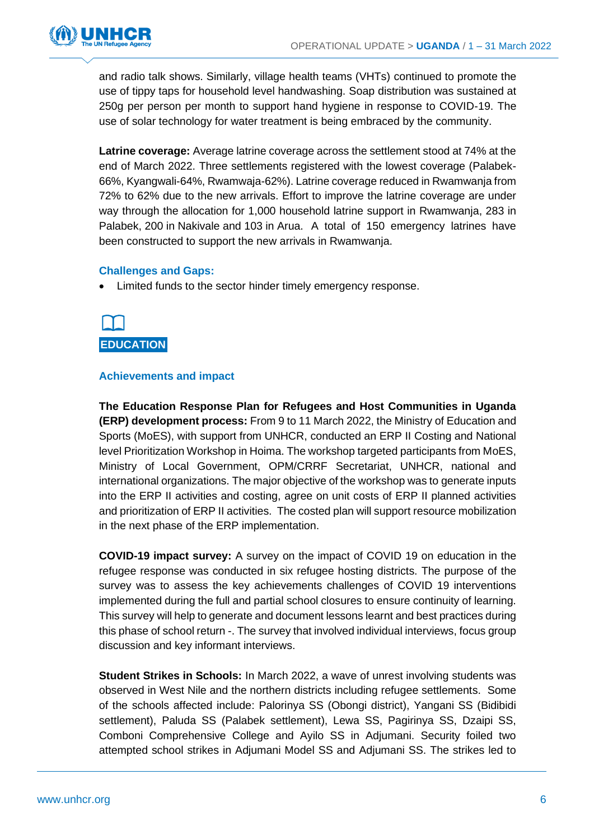

and radio talk shows. Similarly, village health teams (VHTs) continued to promote the use of tippy taps for household level handwashing. Soap distribution was sustained at 250g per person per month to support hand hygiene in response to COVID-19. The use of solar technology for water treatment is being embraced by the community.

**Latrine coverage:** Average latrine coverage across the settlement stood at 74% at the end of March 2022. Three settlements registered with the lowest coverage (Palabek-66%, Kyangwali-64%, Rwamwaja-62%). Latrine coverage reduced in Rwamwanja from 72% to 62% due to the new arrivals. Effort to improve the latrine coverage are under way through the allocation for 1,000 household latrine support in Rwamwanja, 283 in Palabek, 200 in Nakivale and 103 in Arua. A total of 150 emergency latrines have been constructed to support the new arrivals in Rwamwanja.

#### **Challenges and Gaps:**

Limited funds to the sector hinder timely emergency response.



#### **Achievements and impact**

**The Education Response Plan for Refugees and Host Communities in Uganda (ERP) development process:** From 9 to 11 March 2022, the Ministry of Education and Sports (MoES), with support from UNHCR, conducted an ERP II Costing and National level Prioritization Workshop in Hoima. The workshop targeted participants from MoES, Ministry of Local Government, OPM/CRRF Secretariat, UNHCR, national and international organizations. The major objective of the workshop was to generate inputs into the ERP II activities and costing, agree on unit costs of ERP II planned activities and prioritization of ERP II activities. The costed plan will support resource mobilization in the next phase of the ERP implementation.

**COVID-19 impact survey:** A survey on the impact of COVID 19 on education in the refugee response was conducted in six refugee hosting districts. The purpose of the survey was to assess the key achievements challenges of COVID 19 interventions implemented during the full and partial school closures to ensure continuity of learning. This survey will help to generate and document lessons learnt and best practices during this phase of school return -. The survey that involved individual interviews, focus group discussion and key informant interviews.

**Student Strikes in Schools:** In March 2022, a wave of unrest involving students was observed in West Nile and the northern districts including refugee settlements. Some of the schools affected include: Palorinya SS (Obongi district), Yangani SS (Bidibidi settlement), Paluda SS (Palabek settlement), Lewa SS, Pagirinya SS, Dzaipi SS, Comboni Comprehensive College and Ayilo SS in Adjumani. Security foiled two attempted school strikes in Adjumani Model SS and Adjumani SS. The strikes led to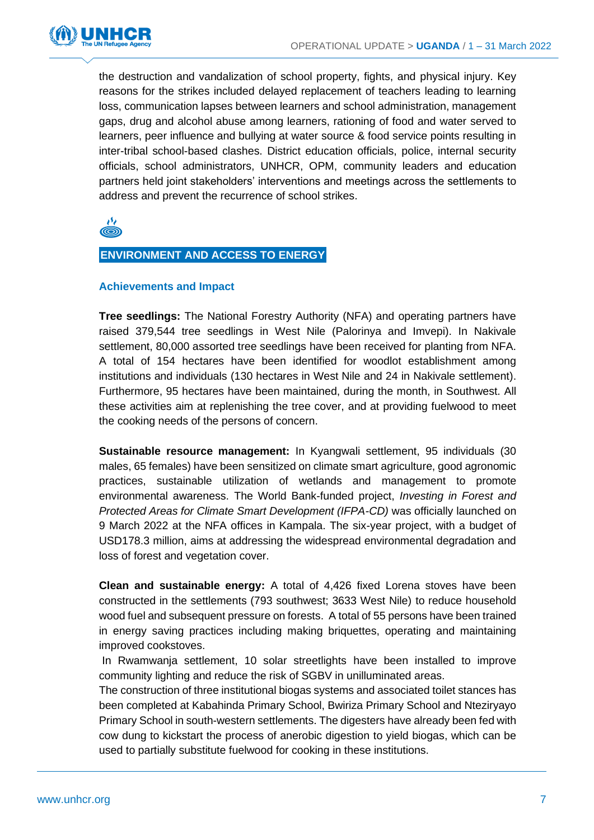

the destruction and vandalization of school property, fights, and physical injury. Key reasons for the strikes included delayed replacement of teachers leading to learning loss, communication lapses between learners and school administration, management gaps, drug and alcohol abuse among learners, rationing of food and water served to learners, peer influence and bullying at water source & food service points resulting in inter-tribal school-based clashes. District education officials, police, internal security officials, school administrators, UNHCR, OPM, community leaders and education partners held joint stakeholders' interventions and meetings across the settlements to address and prevent the recurrence of school strikes.

رکز

#### **ENVIRONMENT AND ACCESS TO ENERGY**

#### **Achievements and Impact**

**Tree seedlings:** The National Forestry Authority (NFA) and operating partners have raised 379,544 tree seedlings in West Nile (Palorinya and Imvepi). In Nakivale settlement, 80,000 assorted tree seedlings have been received for planting from NFA. A total of 154 hectares have been identified for woodlot establishment among institutions and individuals (130 hectares in West Nile and 24 in Nakivale settlement). Furthermore, 95 hectares have been maintained, during the month, in Southwest. All these activities aim at replenishing the tree cover, and at providing fuelwood to meet the cooking needs of the persons of concern.

**Sustainable resource management:** In Kyangwali settlement, 95 individuals (30 males, 65 females) have been sensitized on climate smart agriculture, good agronomic practices, sustainable utilization of wetlands and management to promote environmental awareness. The World Bank-funded project, *Investing in Forest and Protected Areas for Climate Smart Development (IFPA-CD)* was officially launched on 9 March 2022 at the NFA offices in Kampala. The six-year project, with a budget of USD178.3 million, aims at addressing the widespread environmental degradation and loss of forest and vegetation cover.

**Clean and sustainable energy:** A total of 4,426 fixed Lorena stoves have been constructed in the settlements (793 southwest; 3633 West Nile) to reduce household wood fuel and subsequent pressure on forests. A total of 55 persons have been trained in energy saving practices including making briquettes, operating and maintaining improved cookstoves.

In Rwamwanja settlement, 10 solar streetlights have been installed to improve community lighting and reduce the risk of SGBV in unilluminated areas.

The construction of three institutional biogas systems and associated toilet stances has been completed at Kabahinda Primary School, Bwiriza Primary School and Nteziryayo Primary School in south-western settlements. The digesters have already been fed with cow dung to kickstart the process of anerobic digestion to yield biogas, which can be used to partially substitute fuelwood for cooking in these institutions.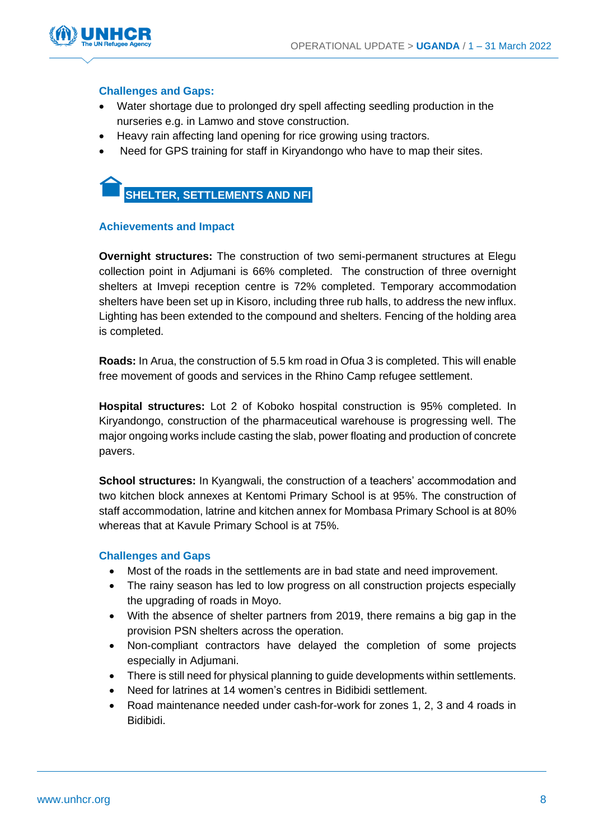

#### **Challenges and Gaps:**

- Water shortage due to prolonged dry spell affecting seedling production in the nurseries e.g. in Lamwo and stove construction.
- Heavy rain affecting land opening for rice growing using tractors.
- Need for GPS training for staff in Kiryandongo who have to map their sites.



#### **Achievements and Impact**

**Overnight structures:** The construction of two semi-permanent structures at Elegu collection point in Adjumani is 66% completed. The construction of three overnight shelters at Imvepi reception centre is 72% completed. Temporary accommodation shelters have been set up in Kisoro, including three rub halls, to address the new influx. Lighting has been extended to the compound and shelters. Fencing of the holding area is completed.

**Roads:** In Arua, the construction of 5.5 km road in Ofua 3 is completed. This will enable free movement of goods and services in the Rhino Camp refugee settlement.

**Hospital structures:** Lot 2 of Koboko hospital construction is 95% completed. In Kiryandongo, construction of the pharmaceutical warehouse is progressing well. The major ongoing works include casting the slab, power floating and production of concrete pavers.

**School structures:** In Kyangwali, the construction of a teachers' accommodation and two kitchen block annexes at Kentomi Primary School is at 95%. The construction of staff accommodation, latrine and kitchen annex for Mombasa Primary School is at 80% whereas that at Kavule Primary School is at 75%.

#### **Challenges and Gaps**

- Most of the roads in the settlements are in bad state and need improvement.
- The rainy season has led to low progress on all construction projects especially the upgrading of roads in Moyo.
- With the absence of shelter partners from 2019, there remains a big gap in the provision PSN shelters across the operation.
- Non-compliant contractors have delayed the completion of some projects especially in Adjumani.
- There is still need for physical planning to guide developments within settlements.
- Need for latrines at 14 women's centres in Bidibidi settlement.
- Road maintenance needed under cash-for-work for zones 1, 2, 3 and 4 roads in Bidibidi.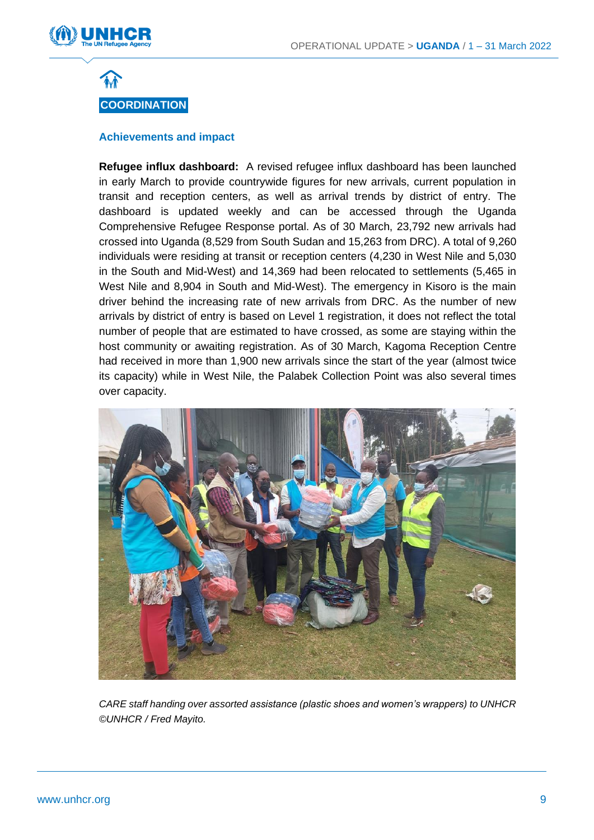



#### **Achievements and impact**

**Refugee influx dashboard:** A revised refugee influx dashboard has been launched in early March to provide countrywide figures for new arrivals, current population in transit and reception centers, as well as arrival trends by district of entry. The dashboard is updated weekly and can be accessed through the Uganda Comprehensive Refugee Response portal. As of 30 March, 23,792 new arrivals had crossed into Uganda (8,529 from South Sudan and 15,263 from DRC). A total of 9,260 individuals were residing at transit or reception centers (4,230 in West Nile and 5,030 in the South and Mid-West) and 14,369 had been relocated to settlements (5,465 in West Nile and 8,904 in South and Mid-West). The emergency in Kisoro is the main driver behind the increasing rate of new arrivals from DRC. As the number of new arrivals by district of entry is based on Level 1 registration, it does not reflect the total number of people that are estimated to have crossed, as some are staying within the host community or awaiting registration. As of 30 March, Kagoma Reception Centre had received in more than 1,900 new arrivals since the start of the year (almost twice its capacity) while in West Nile, the Palabek Collection Point was also several times over capacity.



*CARE staff handing over assorted assistance (plastic shoes and women's wrappers) to UNHCR ©UNHCR / Fred Mayito.*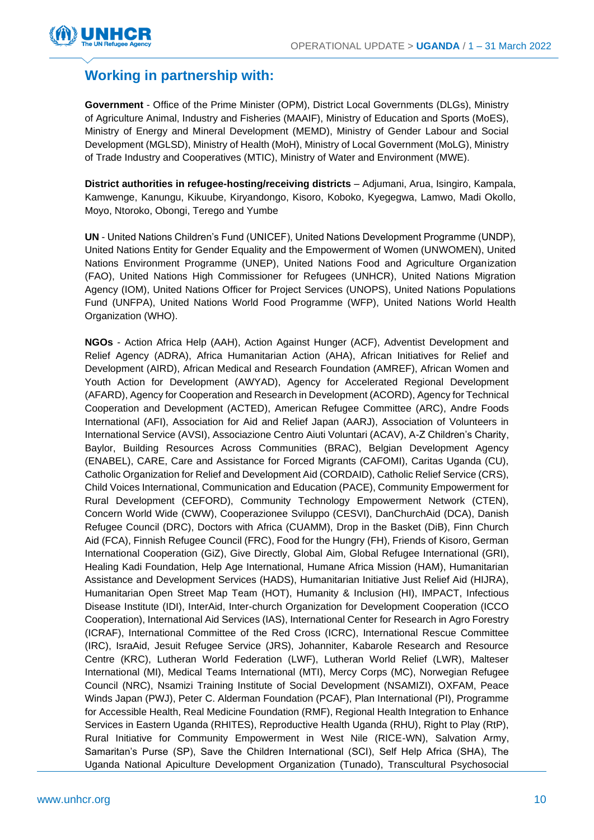

### **Working in partnership with:**

**Government** - Office of the Prime Minister (OPM), District Local Governments (DLGs), Ministry of Agriculture Animal, Industry and Fisheries (MAAIF), Ministry of Education and Sports (MoES), Ministry of Energy and Mineral Development (MEMD), Ministry of Gender Labour and Social Development (MGLSD), Ministry of Health (MoH), Ministry of Local Government (MoLG), Ministry of Trade Industry and Cooperatives (MTIC), Ministry of Water and Environment (MWE).

**District authorities in refugee-hosting/receiving districts** – Adjumani, Arua, Isingiro, Kampala, Kamwenge, Kanungu, Kikuube, Kiryandongo, Kisoro, Koboko, Kyegegwa, Lamwo, Madi Okollo, Moyo, Ntoroko, Obongi, Terego and Yumbe

**UN** - United Nations Children's Fund (UNICEF), United Nations Development Programme (UNDP), United Nations Entity for Gender Equality and the Empowerment of Women (UNWOMEN), United Nations Environment Programme (UNEP), United Nations Food and Agriculture Organization (FAO), United Nations High Commissioner for Refugees (UNHCR), United Nations Migration Agency (IOM), United Nations Officer for Project Services (UNOPS), United Nations Populations Fund (UNFPA), United Nations World Food Programme (WFP), United Nations World Health Organization (WHO).

**NGOs** - Action Africa Help (AAH), Action Against Hunger (ACF), Adventist Development and Relief Agency (ADRA), Africa Humanitarian Action (AHA), African Initiatives for Relief and Development (AIRD), African Medical and Research Foundation (AMREF), African Women and Youth Action for Development (AWYAD), Agency for Accelerated Regional Development (AFARD), Agency for Cooperation and Research in Development (ACORD), Agency for Technical Cooperation and Development (ACTED), American Refugee Committee (ARC), Andre Foods International (AFI), Association for Aid and Relief Japan (AARJ), Association of Volunteers in International Service (AVSI), Associazione Centro Aiuti Voluntari (ACAV), A-Z Children's Charity, Baylor, Building Resources Across Communities (BRAC), Belgian Development Agency (ENABEL), CARE, Care and Assistance for Forced Migrants (CAFOMI), Caritas Uganda (CU), Catholic Organization for Relief and Development Aid (CORDAID), Catholic Relief Service (CRS), Child Voices International, Communication and Education (PACE), Community Empowerment for Rural Development (CEFORD), Community Technology Empowerment Network (CTEN), Concern World Wide (CWW), Cooperazionee Sviluppo (CESVI), DanChurchAid (DCA), Danish Refugee Council (DRC), Doctors with Africa (CUAMM), Drop in the Basket (DiB), Finn Church Aid (FCA), Finnish Refugee Council (FRC), Food for the Hungry (FH), Friends of Kisoro, German International Cooperation (GiZ), Give Directly, Global Aim, Global Refugee International (GRI), Healing Kadi Foundation, Help Age International, Humane Africa Mission (HAM), Humanitarian Assistance and Development Services (HADS), Humanitarian Initiative Just Relief Aid (HIJRA), Humanitarian Open Street Map Team (HOT), Humanity & Inclusion (HI), IMPACT, Infectious Disease Institute (IDI), InterAid, Inter-church Organization for Development Cooperation (ICCO Cooperation), International Aid Services (IAS), International Center for Research in Agro Forestry (ICRAF), International Committee of the Red Cross (ICRC), International Rescue Committee (IRC), IsraAid, Jesuit Refugee Service (JRS), Johanniter, Kabarole Research and Resource Centre (KRC), Lutheran World Federation (LWF), Lutheran World Relief (LWR), Malteser International (MI), Medical Teams International (MTI), Mercy Corps (MC), Norwegian Refugee Council (NRC), Nsamizi Training Institute of Social Development (NSAMIZI), OXFAM, Peace Winds Japan (PWJ), Peter C. Alderman Foundation (PCAF), Plan International (PI), Programme for Accessible Health, Real Medicine Foundation (RMF), Regional Health Integration to Enhance Services in Eastern Uganda (RHITES), Reproductive Health Uganda (RHU), Right to Play (RtP), Rural Initiative for Community Empowerment in West Nile (RICE-WN), Salvation Army, Samaritan's Purse (SP), Save the Children International (SCI), Self Help Africa (SHA), The Uganda National Apiculture Development Organization (Tunado), Transcultural Psychosocial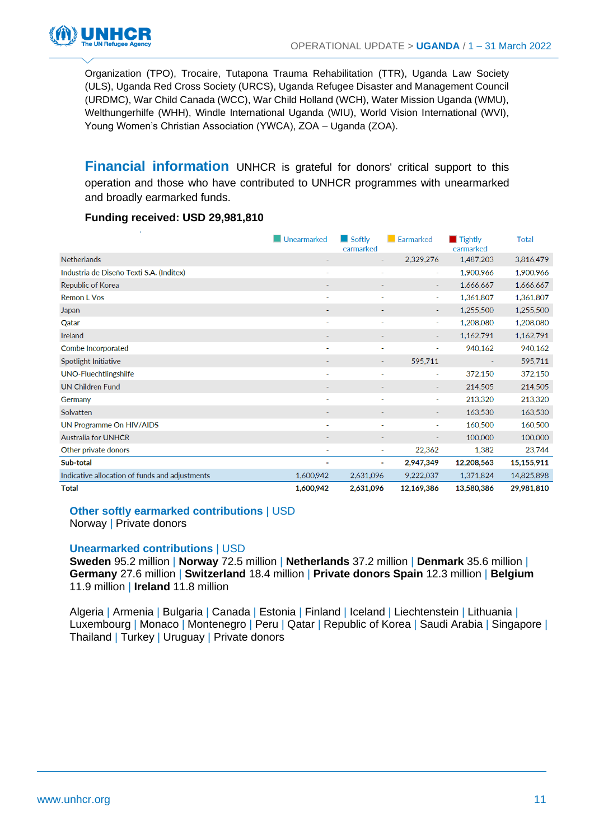

Organization (TPO), Trocaire, Tutapona Trauma Rehabilitation (TTR), Uganda Law Society (ULS), Uganda Red Cross Society (URCS), Uganda Refugee Disaster and Management Council (URDMC), War Child Canada (WCC), War Child Holland (WCH), Water Mission Uganda (WMU), Welthungerhilfe (WHH), Windle International Uganda (WIU), World Vision International (WVI), Young Women's Christian Association (YWCA), ZOA – Uganda (ZOA).

**Financial information** UNHCR is grateful for donors' critical support to this operation and those who have contributed to UNHCR programmes with unearmarked and broadly earmarked funds.

#### **Funding received: USD 29,981,810**

| х.                                             | Unearmarked              | $\Box$ Softly<br>earmarked | $\blacksquare$ Earmarked | $\blacksquare$ Tightly<br>earmarked | <b>Total</b> |
|------------------------------------------------|--------------------------|----------------------------|--------------------------|-------------------------------------|--------------|
| Netherlands                                    |                          |                            | 2,329,276                | 1,487,203                           | 3,816,479    |
| Industria de Diseño Texti S.A. (Inditex)       | i.                       |                            | ٠                        | 1,900,966                           | 1,900,966    |
| Republic of Korea                              |                          |                            | ٠                        | 1,666,667                           | 1,666,667    |
| <b>Remon L Vos</b>                             |                          |                            | ٠                        | 1,361,807                           | 1,361,807    |
| Japan                                          |                          |                            |                          | 1,255,500                           | 1,255,500    |
| Qatar                                          | $\overline{\phantom{a}}$ | ۰                          | ٠                        | 1,208,080                           | 1,208,080    |
| Ireland                                        |                          |                            |                          | 1,162,791                           | 1,162,791    |
| Combe Incorporated                             | ٠                        |                            | $\blacksquare$           | 940,162                             | 940,162      |
| Spotlight Initiative                           |                          |                            | 595,711                  |                                     | 595,711      |
| <b>UNO-Fluechtlingshilfe</b>                   |                          |                            | ٠                        | 372,150                             | 372,150      |
| <b>UN Children Fund</b>                        |                          |                            | $\overline{\phantom{a}}$ | 214,505                             | 214,505      |
| Germany                                        | ÷                        | $\overline{\phantom{0}}$   | ٠                        | 213,320                             | 213,320      |
| Solvatten                                      |                          |                            | ٠                        | 163,530                             | 163,530      |
| UN Programme On HIV/AIDS                       | ٠                        | ٠                          | ٠                        | 160,500                             | 160,500      |
| <b>Australia for UNHCR</b>                     |                          |                            | $\overline{\phantom{a}}$ | 100,000                             | 100,000      |
| Other private donors                           | $\overline{a}$           | $\overline{a}$             | 22,362                   | 1,382                               | 23,744       |
| Sub-total                                      | ٠                        | ٠                          | 2,947,349                | 12,208,563                          | 15,155,911   |
| Indicative allocation of funds and adjustments | 1,600,942                | 2,631,096                  | 9,222,037                | 1,371,824                           | 14,825,898   |
| Total                                          | 1.600.942                | 2,631,096                  | 12,169,386               | 13,580,386                          | 29,981,810   |

#### **Other softly earmarked contributions** | USD

Norway | Private donors

#### **Unearmarked contributions** | USD

**Sweden** 95.2 million | **Norway** 72.5 million | **Netherlands** 37.2 million | **Denmark** 35.6 million | **Germany** 27.6 million | **Switzerland** 18.4 million | **Private donors Spain** 12.3 million | **Belgium**  11.9 million | **Ireland** 11.8 million

Algeria | Armenia | Bulgaria | Canada | Estonia | Finland | Iceland | Liechtenstein | Lithuania | Luxembourg | Monaco | Montenegro | Peru | Qatar | Republic of Korea | Saudi Arabia | Singapore | Thailand | Turkey | Uruguay | Private donors